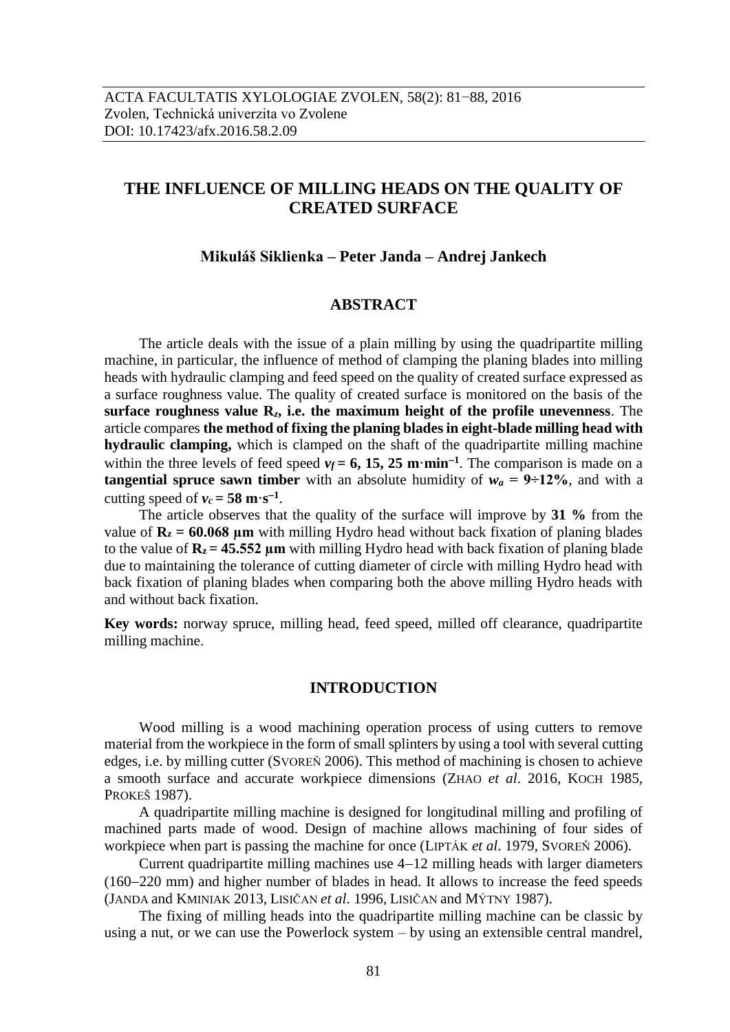# **THE INFLUENCE OF MILLING HEADS ON THE QUALITY OF CREATED SURFACE**

#### **Mikuláš Siklienka – Peter Janda – Andrej Jankech**

# **ABSTRACT**

The article deals with the issue of a plain milling by using the quadripartite milling machine, in particular, the influence of method of clamping the planing blades into milling heads with hydraulic clamping and feed speed on the quality of created surface expressed as a surface roughness value. The quality of created surface is monitored on the basis of the **surface roughness value R***z***, i.e. the maximum height of the profile unevenness**. The article compares **the method of fixing the planing blades in eight-blade milling head with hydraulic clamping,** which is clamped on the shaft of the quadripartite milling machine within the three levels of feed speed  $v_f = 6$ , 15, 25 m·min<sup>-1</sup>. The comparison is made on a **tangential spruce sawn timber** with an absolute humidity of  $w_a = 9 \div 12\%$ , and with a cutting speed of  $v_c = 58 \text{ m} \cdot \text{s}^{-1}$ .

The article observes that the quality of the surface will improve by **31 %** from the value of  $\mathbf{R}_z = 60.068$  um with milling Hydro head without back fixation of planing blades to the value of  $\mathbf{R}_z = 45.552 \text{ µm}$  with milling Hydro head with back fixation of planing blade due to maintaining the tolerance of cutting diameter of circle with milling Hydro head with back fixation of planing blades when comparing both the above milling Hydro heads with and without back fixation.

**Key words:** norway spruce, milling head, feed speed, milled off clearance, quadripartite milling machine.

#### **INTRODUCTION**

Wood milling is a wood machining operation process of using cutters to remove material from the workpiece in the form of small splinters by using a tool with several cutting edges, i.e. by milling cutter (SVOREŇ 2006). This method of machining is chosen to achieve a smooth surface and accurate workpiece dimensions (ZHAO *et al*. 2016, KOCH 1985, PROKEŠ 1987).

A quadripartite milling machine is designed for longitudinal milling and profiling of machined parts made of wood. Design of machine allows machining of four sides of workpiece when part is passing the machine for once (LIPTÁK *et al*. 1979, SVOREŇ 2006).

Current quadripartite milling machines use  $4-12$  milling heads with larger diameters  $(160-220 \text{ mm})$  and higher number of blades in head. It allows to increase the feed speeds (JANDA and KMINIAK 2013, LISIČAN *et al*. 1996, LISIČAN and MÝTNY 1987).

The fixing of milling heads into the quadripartite milling machine can be classic by using a nut, or we can use the Powerlock system – by using an extensible central mandrel,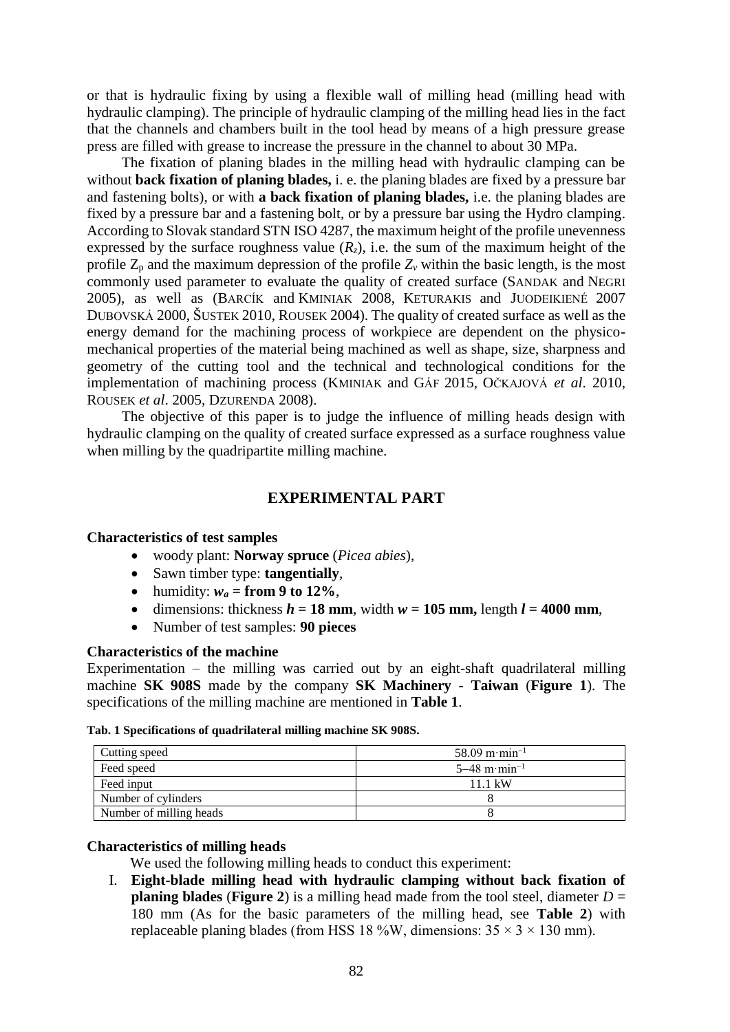or that is hydraulic fixing by using a flexible wall of milling head (milling head with hydraulic clamping). The principle of hydraulic clamping of the milling head lies in the fact that the channels and chambers built in the tool head by means of a high pressure grease press are filled with grease to increase the pressure in the channel to about 30 MPa.

The fixation of planing blades in the milling head with hydraulic clamping can be without **back fixation of planing blades,** i. e. the planing blades are fixed by a pressure bar and fastening bolts), or with **a back fixation of planing blades,** i.e. the planing blades are fixed by a pressure bar and a fastening bolt, or by a pressure bar using the Hydro clamping. According to Slovak standard STN ISO 4287, the maximum height of the profile unevenness expressed by the surface roughness value  $(R_z)$ , i.e. the sum of the maximum height of the profile  $Z_p$  and the maximum depression of the profile  $Z_v$  within the basic length, is the most commonly used parameter to evaluate the quality of created surface (SANDAK and NEGRI 2005), as well as (BARCÍK and KMINIAK 2008, KETURAKIS and JUODEIKIENÉ 2007 DUBOVSKÁ 2000, ŠUSTEK 2010, ROUSEK 2004). The quality of created surface as well as the energy demand for the machining process of workpiece are dependent on the physicomechanical properties of the material being machined as well as shape, size, sharpness and geometry of the cutting tool and the technical and technological conditions for the implementation of machining process (KMINIAK and GÁF 2015, OČKAJOVÁ *et al*. 2010, ROUSEK *et al*. 2005, DZURENDA 2008).

The objective of this paper is to judge the influence of milling heads design with hydraulic clamping on the quality of created surface expressed as a surface roughness value when milling by the quadripartite milling machine.

# **EXPERIMENTAL PART**

### **Characteristics of test samples**

- woody plant: **Norway spruce** (*Picea abies*),
- Sawn timber type: **tangentially**,
- humidity:  $w_a = \textbf{from 9 to 12\%}.$
- dimensions: thickness  $h = 18$  mm, width  $w = 105$  mm, length  $l = 4000$  mm,
- Number of test samples: **90 pieces**

# **Characteristics of the machine**

Experimentation – the milling was carried out by an eight-shaft quadrilateral milling machine **SK 908S** made by the company **SK Machinery - Taiwan** (**Figure 1**). The specifications of the milling machine are mentioned in **Table 1**.

#### **Tab. 1 Specifications of quadrilateral milling machine SK 908S.**

| Cutting speed           | $58.09 \,\mathrm{m} \cdot \mathrm{min}^{-1}$ |  |  |
|-------------------------|----------------------------------------------|--|--|
| Feed speed              | $5-48$ m·min <sup>-1</sup>                   |  |  |
| Feed input              | 11.1 kW                                      |  |  |
| Number of cylinders     |                                              |  |  |
| Number of milling heads |                                              |  |  |

### **Characteristics of milling heads**

We used the following milling heads to conduct this experiment:

I. **Eight-blade milling head with hydraulic clamping without back fixation of planing blades** (**Figure 2**) is a milling head made from the tool steel, diameter  $D =$ 180 mm (As for the basic parameters of the milling head, see **Table 2**) with replaceable planing blades (from HSS 18 %W, dimensions:  $35 \times 3 \times 130$  mm).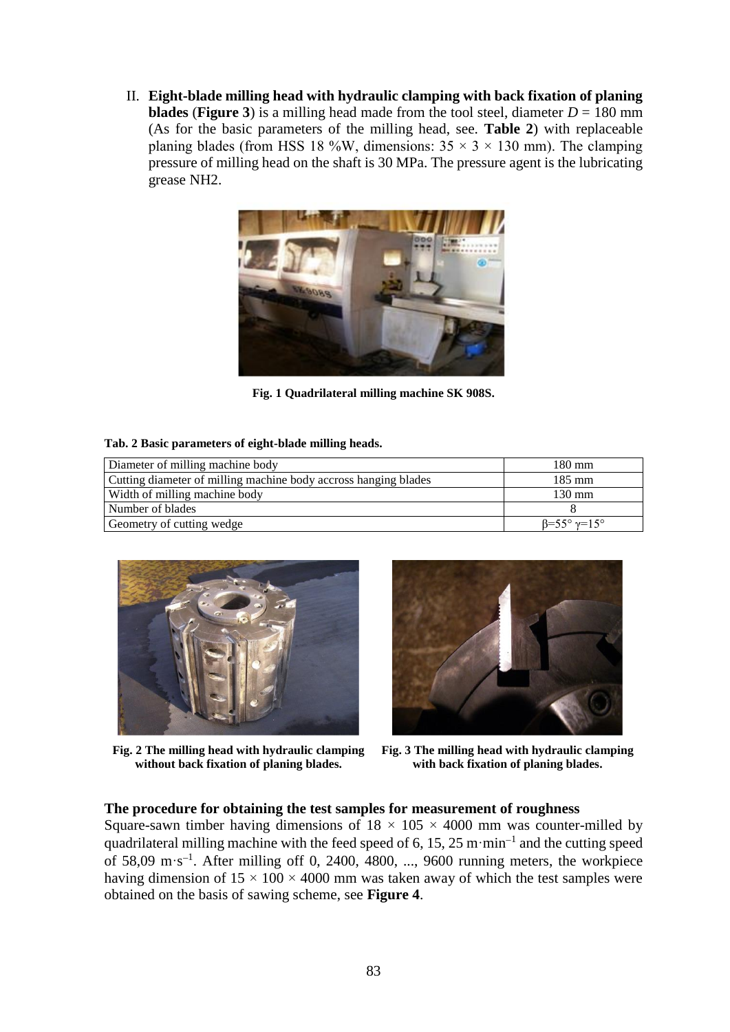II. **Eight-blade milling head with hydraulic clamping with back fixation of planing blades** (**Figure 3**) is a milling head made from the tool steel, diameter  $D = 180$  mm (As for the basic parameters of the milling head, see. **Table 2**) with replaceable planing blades (from HSS 18 %W, dimensions:  $35 \times 3 \times 130$  mm). The clamping pressure of milling head on the shaft is 30 MPa. The pressure agent is the lubricating grease NH2.



**Fig. 1 Quadrilateral milling machine SK 908S.**

#### **Tab. 2 Basic parameters of eight-blade milling heads.**

| Diameter of milling machine body                                | $180 \text{ mm}$                         |  |  |
|-----------------------------------------------------------------|------------------------------------------|--|--|
| Cutting diameter of milling machine body accross hanging blades | $185 \text{ mm}$                         |  |  |
| Width of milling machine body                                   | $130 \text{ mm}$                         |  |  |
| Number of blades                                                |                                          |  |  |
| Geometry of cutting wedge                                       | $\beta = 55^{\circ} \gamma = 15^{\circ}$ |  |  |



**Fig. 2 The milling head with hydraulic clamping without back fixation of planing blades.**



**Fig. 3 The milling head with hydraulic clamping with back fixation of planing blades.**

### **The procedure for obtaining the test samples for measurement of roughness**

Square-sawn timber having dimensions of  $18 \times 105 \times 4000$  mm was counter-milled by quadrilateral milling machine with the feed speed of 6, 15, 25 m·min<sup>-1</sup> and the cutting speed of  $58,09 \text{ m}\cdot\text{s}^{-1}$ . After milling off 0, 2400, 4800, ..., 9600 running meters, the workpiece having dimension of  $15 \times 100 \times 4000$  mm was taken away of which the test samples were obtained on the basis of sawing scheme, see **Figure 4**.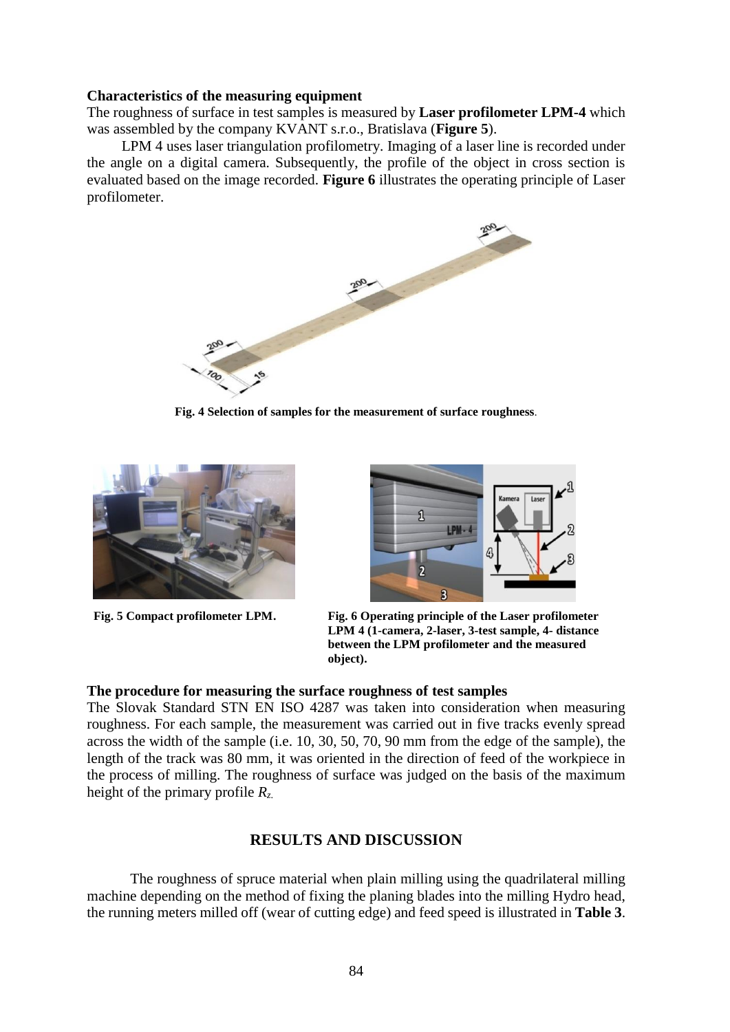## **Characteristics of the measuring equipment**

The roughness of surface in test samples is measured by **Laser profilometer LPM-4** which was assembled by the company KVANT s.r.o., Bratislava (**Figure 5**).

LPM 4 uses laser triangulation profilometry. Imaging of a laser line is recorded under the angle on a digital camera. Subsequently, the profile of the object in cross section is evaluated based on the image recorded. **Figure 6** illustrates the operating principle of Laser profilometer.



**Fig. 4 Selection of samples for the measurement of surface roughness***.*





**Fig. 5 Compact profilometer LPM. Fig. 6 Operating principle of the Laser profilometer LPM 4 (1-camera, 2-laser, 3-test sample, 4- distance between the LPM profilometer and the measured object).**

### **The procedure for measuring the surface roughness of test samples**

The Slovak Standard STN EN ISO 4287 was taken into consideration when measuring roughness. For each sample, the measurement was carried out in five tracks evenly spread across the width of the sample (i.e. 10, 30, 50, 70, 90 mm from the edge of the sample), the length of the track was 80 mm, it was oriented in the direction of feed of the workpiece in the process of milling. The roughness of surface was judged on the basis of the maximum height of the primary profile *Rz*.

# **RESULTS AND DISCUSSION**

The roughness of spruce material when plain milling using the quadrilateral milling machine depending on the method of fixing the planing blades into the milling Hydro head, the running meters milled off (wear of cutting edge) and feed speed is illustrated in **Table 3**.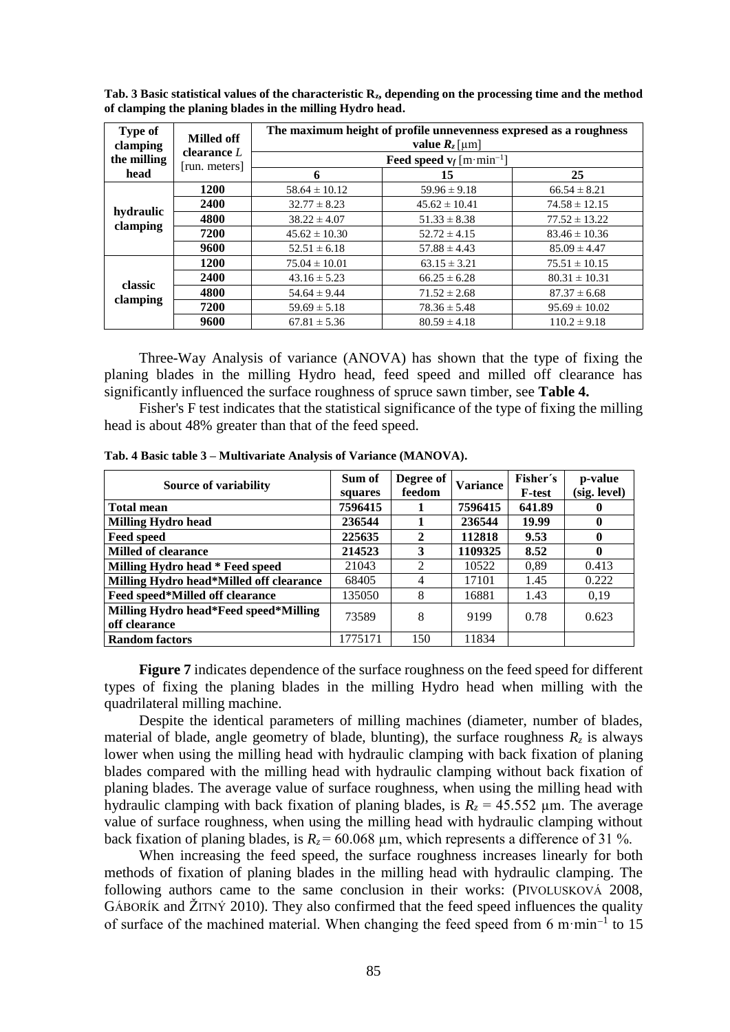| <b>Type of</b><br>clamping | Milled off<br>clearance $L$<br>[run. meters] | The maximum height of profile unnevenness expresed as a roughness<br>value $R_z$ [µm]<br><b>Feed speed v</b> <sub>f</sub> [m·min <sup>-1</sup> ] |                   |                   |  |
|----------------------------|----------------------------------------------|--------------------------------------------------------------------------------------------------------------------------------------------------|-------------------|-------------------|--|
| the milling<br>head        |                                              |                                                                                                                                                  |                   |                   |  |
|                            |                                              | 6                                                                                                                                                | 15                | 25                |  |
| hydraulic<br>clamping      | <b>1200</b>                                  | $58.64 \pm 10.12$                                                                                                                                | $59.96 \pm 9.18$  | $66.54 \pm 8.21$  |  |
|                            | 2400                                         | $32.77 \pm 8.23$                                                                                                                                 | $45.62 \pm 10.41$ | $74.58 \pm 12.15$ |  |
|                            | 4800                                         | $38.22 \pm 4.07$                                                                                                                                 | $51.33 \pm 8.38$  | $77.52 \pm 13.22$ |  |
|                            | 7200                                         | $45.62 \pm 10.30$                                                                                                                                | $52.72 \pm 4.15$  | $83.46 \pm 10.36$ |  |
|                            | 9600                                         | $52.51 \pm 6.18$                                                                                                                                 | $57.88 \pm 4.43$  | $85.09 \pm 4.47$  |  |
| classic<br>clamping        | <b>1200</b>                                  | $75.04 \pm 10.01$                                                                                                                                | $63.15 \pm 3.21$  | $75.51 \pm 10.15$ |  |
|                            | 2400                                         | $43.16 \pm 5.23$                                                                                                                                 | $66.25 \pm 6.28$  | $80.31 \pm 10.31$ |  |
|                            | 4800                                         | $54.64 \pm 9.44$                                                                                                                                 | $71.52 \pm 2.68$  | $87.37 \pm 6.68$  |  |
|                            | 7200                                         | $59.69 \pm 5.18$                                                                                                                                 | $78.36 \pm 5.48$  | $95.69 \pm 10.02$ |  |
|                            | 9600                                         | $67.81 \pm 5.36$                                                                                                                                 | $80.59 \pm 4.18$  | $110.2 \pm 9.18$  |  |

**Tab. 3 Basic statistical values of the characteristic Rz, depending on the processing time and the method of clamping the planing blades in the milling Hydro head.**

Three-Way Analysis of variance (ANOVA) has shown that the type of fixing the planing blades in the milling Hydro head, feed speed and milled off clearance has significantly influenced the surface roughness of spruce sawn timber, see **Table 4.**

Fisher's F test indicates that the statistical significance of the type of fixing the milling head is about 48% greater than that of the feed speed.

| <b>Source of variability</b>                           | Sum of<br>squares | Degree of<br>feedom | <b>Variance</b> | Fisher's<br><b>F-test</b> | p-value<br>(sig. level) |
|--------------------------------------------------------|-------------------|---------------------|-----------------|---------------------------|-------------------------|
| <b>Total mean</b>                                      | 7596415           |                     | 7596415         | 641.89                    | 0                       |
| <b>Milling Hydro head</b>                              | 236544            |                     | 236544          | 19.99                     | $\mathbf 0$             |
| <b>Feed speed</b>                                      | 225635            | $\mathbf{2}$        | 112818          | 9.53                      | $\mathbf 0$             |
| <b>Milled of clearance</b>                             | 214523            | 3                   | 1109325         | 8.52                      | $\mathbf 0$             |
| Milling Hydro head * Feed speed                        | 21043             | 2                   | 10522           | 0,89                      | 0.413                   |
| Milling Hydro head*Milled off clearance                | 68405             | 4                   | 17101           | 1.45                      | 0.222                   |
| Feed speed*Milled off clearance                        | 135050            | 8                   | 16881           | 1.43                      | 0,19                    |
| Milling Hydro head*Feed speed*Milling<br>off clearance | 73589             | 8                   | 9199            | 0.78                      | 0.623                   |
| <b>Random factors</b>                                  | 1775171           | 150                 | 11834           |                           |                         |

**Tab. 4 Basic table 3 – Multivariate Analysis of Variance (MANOVA).**

**Figure 7** indicates dependence of the surface roughness on the feed speed for different types of fixing the planing blades in the milling Hydro head when milling with the quadrilateral milling machine.

Despite the identical parameters of milling machines (diameter, number of blades, material of blade, angle geometry of blade, blunting), the surface roughness  $R_z$  is always lower when using the milling head with hydraulic clamping with back fixation of planing blades compared with the milling head with hydraulic clamping without back fixation of planing blades. The average value of surface roughness, when using the milling head with hydraulic clamping with back fixation of planing blades, is  $R_z = 45.552 \mu m$ . The average value of surface roughness, when using the milling head with hydraulic clamping without back fixation of planing blades, is  $R_z = 60.068 \text{ µm}$ , which represents a difference of 31 %.

When increasing the feed speed, the surface roughness increases linearly for both methods of fixation of planing blades in the milling head with hydraulic clamping. The following authors came to the same conclusion in their works: (PIVOLUSKOVÁ 2008, GÁBORÍK and ŽITNÝ 2010). They also confirmed that the feed speed influences the quality of surface of the machined material. When changing the feed speed from 6 m·min<sup>-1</sup> to 15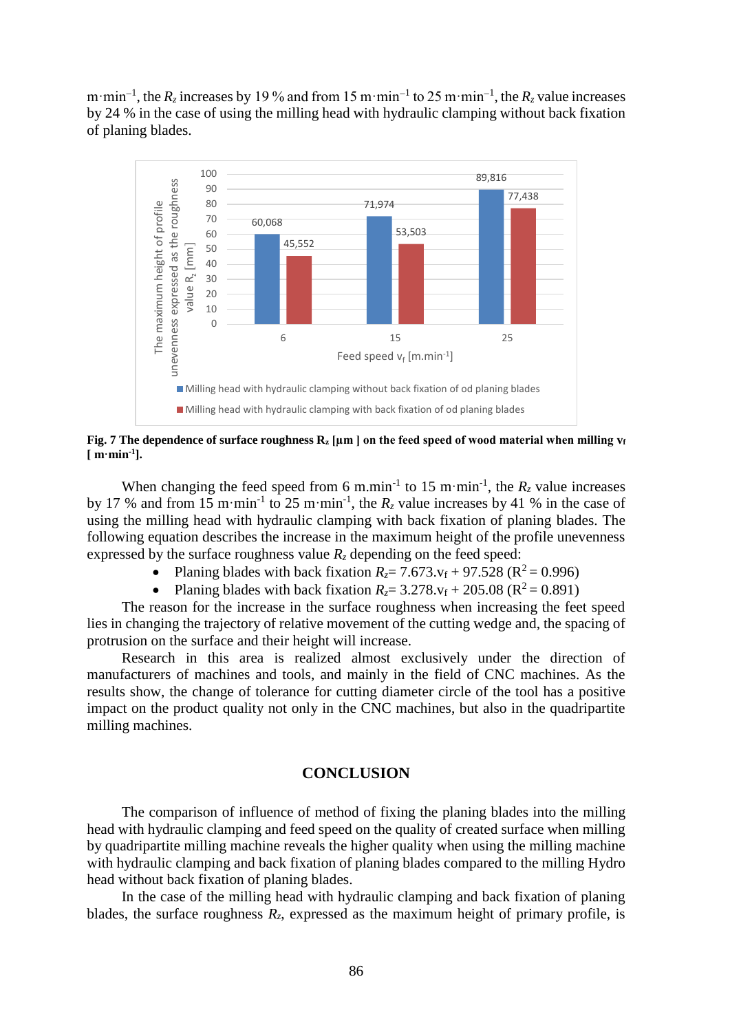m·min<sup>-1</sup>, the  $R_z$  increases by 19 % and from 15 m·min<sup>-1</sup> to 25 m·min<sup>-1</sup>, the  $R_z$  value increases by 24 % in the case of using the milling head with hydraulic clamping without back fixation of planing blades.



**Fig. 7 The dependence of surface roughness R<sup>z</sup> [µm ] on the feed speed of wood material when milling v<sup>f</sup> [ m·min-1 ].**

When changing the feed speed from 6 m.min<sup>-1</sup> to 15 m·min<sup>-1</sup>, the  $R_z$  value increases by 17 % and from 15 m·min<sup>-1</sup> to 25 m·min<sup>-1</sup>, the  $R_z$  value increases by 41 % in the case of using the milling head with hydraulic clamping with back fixation of planing blades. The following equation describes the increase in the maximum height of the profile unevenness expressed by the surface roughness value  $R_z$  depending on the feed speed:

- Planing blades with back fixation  $R_7 = 7.673$ .  $v_f + 97.528$  ( $R^2 = 0.996$ )
- Planing blades with back fixation  $R_z = 3.278$ .  $v_f + 205.08$  ( $R^2 = 0.891$ )

The reason for the increase in the surface roughness when increasing the feet speed lies in changing the trajectory of relative movement of the cutting wedge and, the spacing of protrusion on the surface and their height will increase.

Research in this area is realized almost exclusively under the direction of manufacturers of machines and tools, and mainly in the field of CNC machines. As the results show, the change of tolerance for cutting diameter circle of the tool has a positive impact on the product quality not only in the CNC machines, but also in the quadripartite milling machines.

### **CONCLUSION**

The comparison of influence of method of fixing the planing blades into the milling head with hydraulic clamping and feed speed on the quality of created surface when milling by quadripartite milling machine reveals the higher quality when using the milling machine with hydraulic clamping and back fixation of planing blades compared to the milling Hydro head without back fixation of planing blades.

In the case of the milling head with hydraulic clamping and back fixation of planing blades, the surface roughness  $R_z$ , expressed as the maximum height of primary profile, is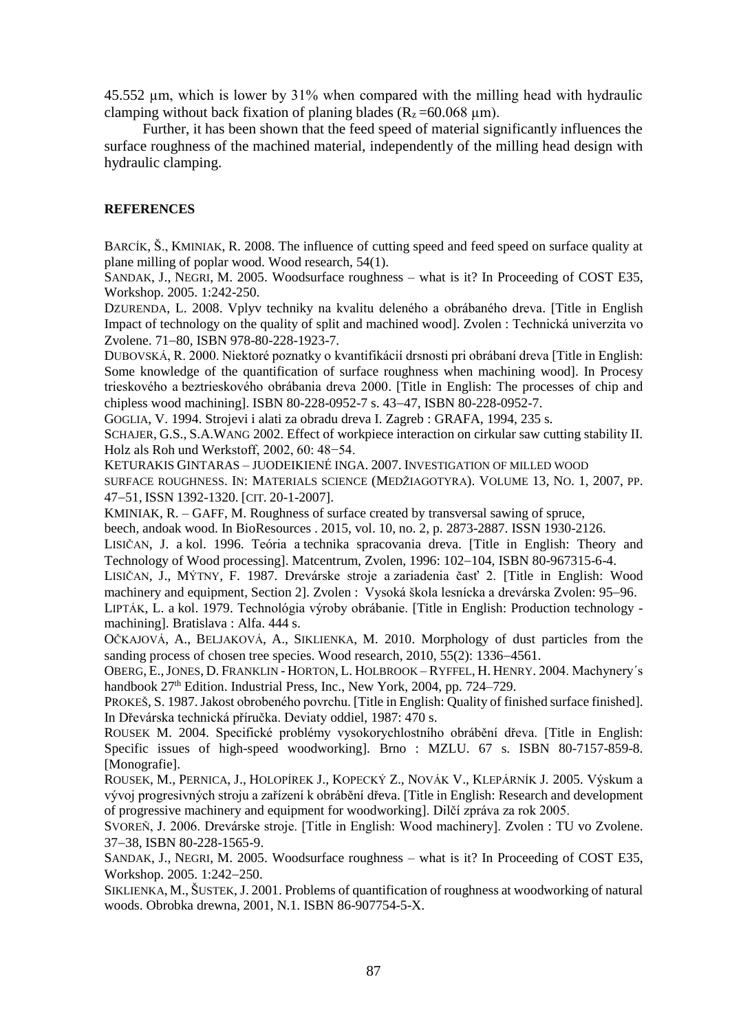45.552 µm, which is lower by 31% when compared with the milling head with hydraulic clamping without back fixation of planing blades  $(R_z = 60.068 \text{ }\mu\text{m})$ .

Further, it has been shown that the feed speed of material significantly influences the surface roughness of the machined material, independently of the milling head design with hydraulic clamping.

### **REFERENCES**

BARCÍK, Š., KMINIAK, R. 2008. The influence of cutting speed and feed speed on surface quality at plane milling of poplar wood. Wood research, 54(1).

SANDAK, J., NEGRI, M. 2005. Woodsurface roughness – what is it? In Proceeding of COST E35, Workshop. 2005. 1:242-250.

DZURENDA, L. 2008. Vplyv techniky na kvalitu deleného a obrábaného dreva. [Title in English Impact of technology on the quality of split and machined wood]. Zvolen : Technická univerzita vo Zvolene. 71-80, ISBN 978-80-228-1923-7.

DUBOVSKÁ, R. 2000. Niektoré poznatky o kvantifikácií drsnosti pri obrábaní dreva [Title in English: Some knowledge of the quantification of surface roughness when machining wood]. In Procesy trieskového a beztrieskového obrábania dreva 2000. [Title in English: The processes of chip and chipless wood machining]. ISBN 80-228-0952-7 s. 43-47, ISBN 80-228-0952-7.

GOGLIA, V. 1994. Strojevi i alati za obradu dreva I. Zagreb : GRAFA, 1994, 235 s.

SCHAJER, G.S., S.A.WANG 2002. Effect of workpiece interaction on cirkular saw cutting stability II. Holz als Roh und Werkstoff, 2002, 60: 48−54.

KETURAKIS GINTARAS – JUODEIKIENÉ INGA. 2007. INVESTIGATION OF MILLED WOOD

SURFACE ROUGHNESS. IN: MATERIALS SCIENCE (MEDŽIAGOTYRA). VOLUME 13, NO. 1, 2007, PP. 4751, ISSN 1392-1320. [CIT. 20-1-2007].

KMINIAK, R. – GAFF, M. Roughness of surface created by transversal sawing of spruce,

beech, andoak wood. In BioResources . 2015, vol. 10, no. 2, p. 2873-2887. ISSN 1930-2126.

LISIČAN, J. a kol. 1996. Teória a technika spracovania dreva. [Title in English: Theory and Technology of Wood processing]. Matcentrum, Zvolen, 1996: 102–104, ISBN 80-967315-6-4.

LISIČAN, J., MÝTNY, F. 1987. Drevárske stroje a zariadenia časť 2. [Title in English: Wood machinery and equipment, Section 2]. Zvolen : Vysoká škola lesnícka a drevárska Zvolen: 95–96.

LIPTÁK, L. a kol. 1979. Technológia výroby obrábanie. [Title in English: Production technology machining]. Bratislava : Alfa. 444 s.

OČKAJOVÁ, A., BELJAKOVÁ, A., SIKLIENKA, M. 2010. Morphology of dust particles from the sanding process of chosen tree species. Wood research,  $2010$ ,  $55(2)$ : 1336–4561.

OBERG, E.,JONES, D. FRANKLIN - HORTON, L. HOLBROOK – RYFFEL, H. HENRY. 2004. Machynery´s handbook 27<sup>th</sup> Edition. Industrial Press, Inc., New York, 2004, pp. 724–729.

PROKEŠ, S. 1987. Jakost obrobeného povrchu. [Title in English: Quality of finished surface finished]. In Dřevárska technická příručka. Deviaty oddiel, 1987: 470 s.

ROUSEK M. 2004. Specifické problémy vysokorychlostního obrábění dřeva. [Title in English: Specific issues of high-speed woodworking]. Brno : MZLU. 67 s. ISBN 80-7157-859-8. [Monografie].

ROUSEK, M., PERNICA, J., HOLOPÍREK J., KOPECKÝ Z., NOVÁK V., KLEPÁRNÍK J. 2005. Výskum a vývoj progresivných stroju a zařízení k obrábění dřeva. [Title in English: Research and development of progressive machinery and equipment for woodworking]. Dilčí zpráva za rok 2005.

SVOREŇ, J. 2006. Drevárske stroje. [Title in English: Wood machinery]. Zvolen : TU vo Zvolene. 37-38, ISBN 80-228-1565-9.

SANDAK, J., NEGRI, M. 2005. Woodsurface roughness – what is it? In Proceeding of COST E35, Workshop. 2005. 1:242-250.

SIKLIENKA, M., ŠUSTEK, J. 2001. Problems of quantification of roughness at woodworking of natural woods. Obrobka drewna, 2001, N.1. ISBN 86-907754-5-X.